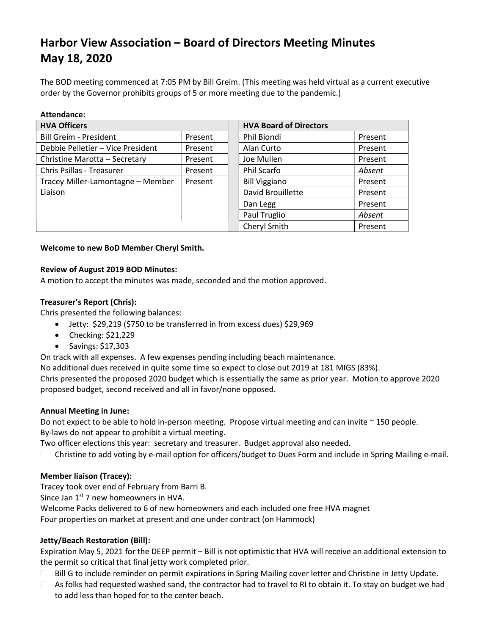# Harbor View Association – Board of Directors Meeting Minutes May 18, 2020

The BOD meeting commenced at 7:05 PM by Bill Greim. (This meeting was held virtual as a current executive order by the Governor prohibits groups of 5 or more meeting due to the pandemic.)

| Attendance:                       |         |                               |         |
|-----------------------------------|---------|-------------------------------|---------|
| <b>HVA Officers</b>               |         | <b>HVA Board of Directors</b> |         |
| <b>Bill Greim - President</b>     | Present | Phil Biondi                   | Present |
| Debbie Pelletier - Vice President | Present | Alan Curto                    | Present |
| Christine Marotta - Secretary     | Present | Joe Mullen                    | Present |
| Chris Psillas - Treasurer         | Present | Phil Scarfo                   | Absent  |
| Tracey Miller-Lamontagne - Member | Present | <b>Bill Viggiano</b>          | Present |
| Liaison                           |         | David Brouillette             | Present |
|                                   |         | Dan Legg                      | Present |
|                                   |         | Paul Truglio                  | Absent  |
|                                   |         | Cheryl Smith                  | Present |

#### Welcome to new BoD Member Cheryl Smith.

#### Review of August 2019 BOD Minutes:

A motion to accept the minutes was made, seconded and the motion approved.

## Treasurer's Report (Chris):

Chris presented the following balances:

- Jetty: \$29,219 (\$750 to be transferred in from excess dues) \$29,969
- $\bullet$  Checking: \$21,229
- $\bullet$  Savings: \$17,303

On track with all expenses. A few expenses pending including beach maintenance.

No additional dues received in quite some time so expect to close out 2019 at 181 MIGS (83%).

Chris presented the proposed 2020 budget which is essentially the same as prior year. Motion to approve 2020 proposed budget, second received and all in favor/none opposed.

#### Annual Meeting in June:

Do not expect to be able to hold in-person meeting. Propose virtual meeting and can invite ~ 150 people. By-laws do not appear to prohibit a virtual meeting.

Two officer elections this year: secretary and treasurer. Budget approval also needed.

 $\Box$  Christine to add voting by e-mail option for officers/budget to Dues Form and include in Spring Mailing e-mail.

## Member liaison (Tracey):

Tracey took over end of February from Barri B.

Since Jan  $1<sup>st</sup>$  7 new homeowners in HVA.

Welcome Packs delivered to 6 of new homeowners and each included one free HVA magnet

Four properties on market at present and one under contract (on Hammock)

## Jetty/Beach Restoration (Bill):

Expiration May 5, 2021 for the DEEP permit – Bill is not optimistic that HVA will receive an additional extension to the permit so critical that final jetty work completed prior.

- □ Bill G to include reminder on permit expirations in Spring Mailing cover letter and Christine in Jetty Update.
- $\Box$  As folks had requested washed sand, the contractor had to travel to RI to obtain it. To stay on budget we had to add less than hoped for to the center beach.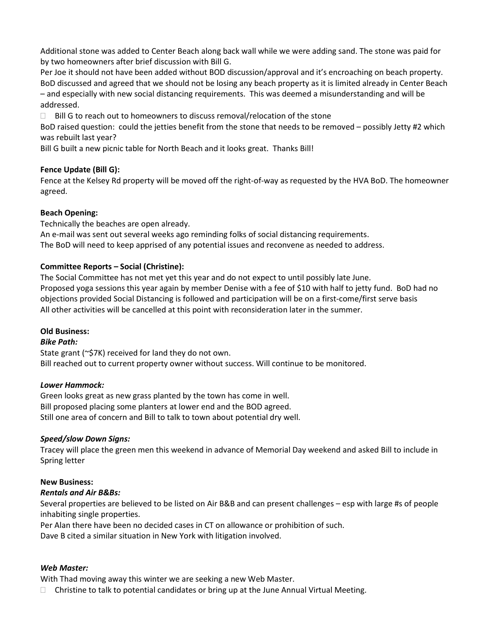Additional stone was added to Center Beach along back wall while we were adding sand. The stone was paid for by two homeowners after brief discussion with Bill G.

Per Joe it should not have been added without BOD discussion/approval and it's encroaching on beach property. BoD discussed and agreed that we should not be losing any beach property as it is limited already in Center Beach – and especially with new social distancing requirements. This was deemed a misunderstanding and will be addressed.

 $\Box$  Bill G to reach out to homeowners to discuss removal/relocation of the stone

BoD raised question: could the jetties benefit from the stone that needs to be removed – possibly Jetty #2 which was rebuilt last year?

Bill G built a new picnic table for North Beach and it looks great. Thanks Bill!

# Fence Update (Bill G):

Fence at the Kelsey Rd property will be moved off the right-of-way as requested by the HVA BoD. The homeowner agreed.

# Beach Opening:

Technically the beaches are open already.

An e-mail was sent out several weeks ago reminding folks of social distancing requirements.

The BoD will need to keep apprised of any potential issues and reconvene as needed to address.

## Committee Reports – Social (Christine):

The Social Committee has not met yet this year and do not expect to until possibly late June. Proposed yoga sessions this year again by member Denise with a fee of \$10 with half to jetty fund. BoD had no objections provided Social Distancing is followed and participation will be on a first-come/first serve basis All other activities will be cancelled at this point with reconsideration later in the summer.

## Old Business:

## Bike Path:

State grant (~\$7K) received for land they do not own. Bill reached out to current property owner without success. Will continue to be monitored.

## Lower Hammock:

Green looks great as new grass planted by the town has come in well. Bill proposed placing some planters at lower end and the BOD agreed. Still one area of concern and Bill to talk to town about potential dry well.

## Speed/slow Down Signs:

Tracey will place the green men this weekend in advance of Memorial Day weekend and asked Bill to include in Spring letter

## New Business:

## Rentals and Air B&Bs:

Several properties are believed to be listed on Air B&B and can present challenges – esp with large #s of people inhabiting single properties.

Per Alan there have been no decided cases in CT on allowance or prohibition of such.

Dave B cited a similar situation in New York with litigation involved.

## Web Master:

With Thad moving away this winter we are seeking a new Web Master.

 $\Box$  Christine to talk to potential candidates or bring up at the June Annual Virtual Meeting.